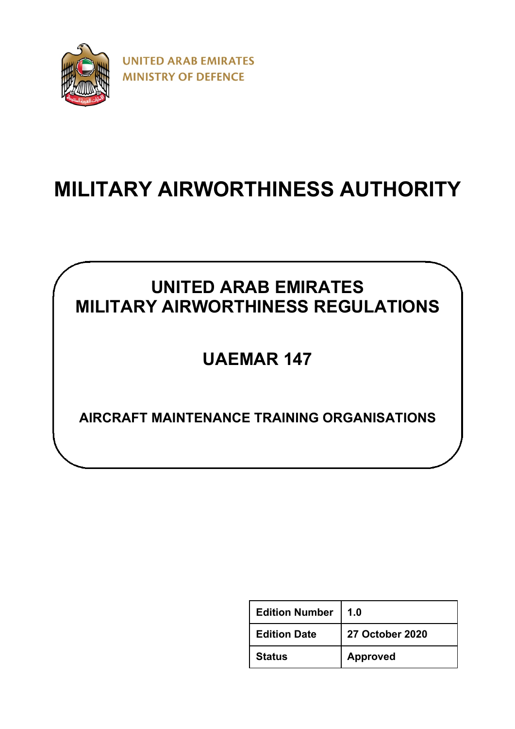

# **MILITARY AIRWORTHINESS AUTHORITY**

# **UNITED ARAB EMIRATES MILITARY AIRWORTHINESS REGULATIONS**

# **UAEMAR 147**

**AIRCRAFT MAINTENANCE TRAINING ORGANISATIONS**

| Edition Number   1.0 |                 |
|----------------------|-----------------|
| <b>Edition Date</b>  | 27 October 2020 |
| <b>Status</b>        | <b>Approved</b> |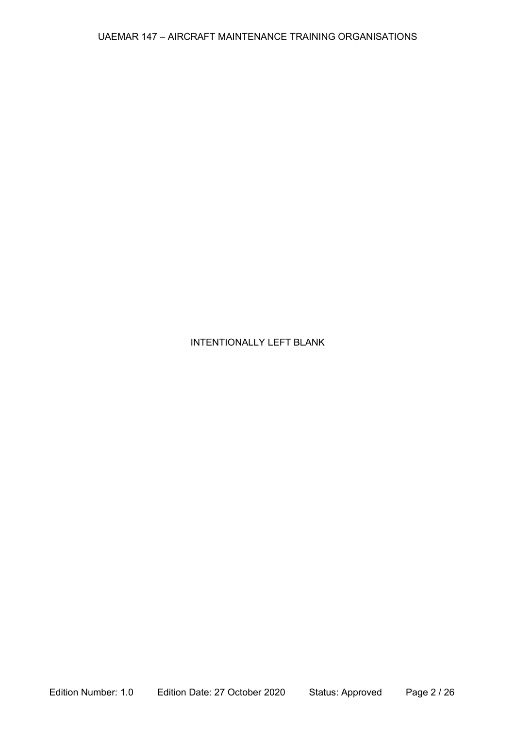# INTENTIONALLY LEFT BLANK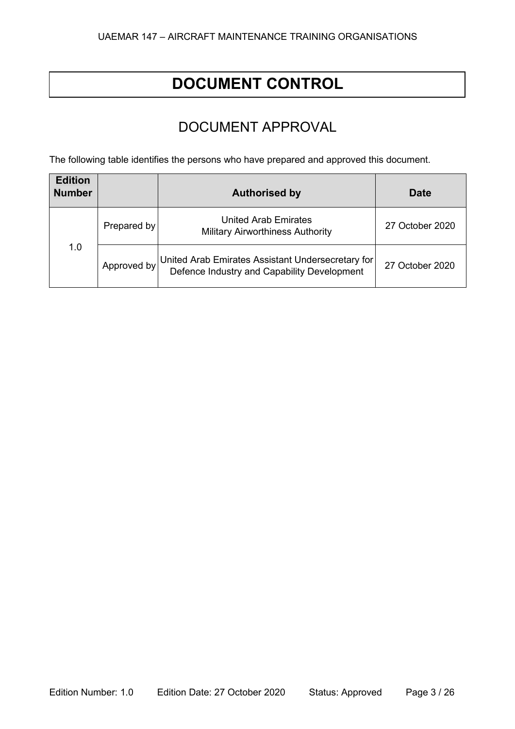# **DOCUMENT CONTROL**

# DOCUMENT APPROVAL

The following table identifies the persons who have prepared and approved this document.

| <b>Edition</b><br><b>Number</b> |             | <b>Authorised by</b>                                                                             | Date            |
|---------------------------------|-------------|--------------------------------------------------------------------------------------------------|-----------------|
| 1.0                             | Prepared by | United Arab Emirates<br><b>Military Airworthiness Authority</b>                                  | 27 October 2020 |
|                                 | Approved by | United Arab Emirates Assistant Undersecretary for<br>Defence Industry and Capability Development | 27 October 2020 |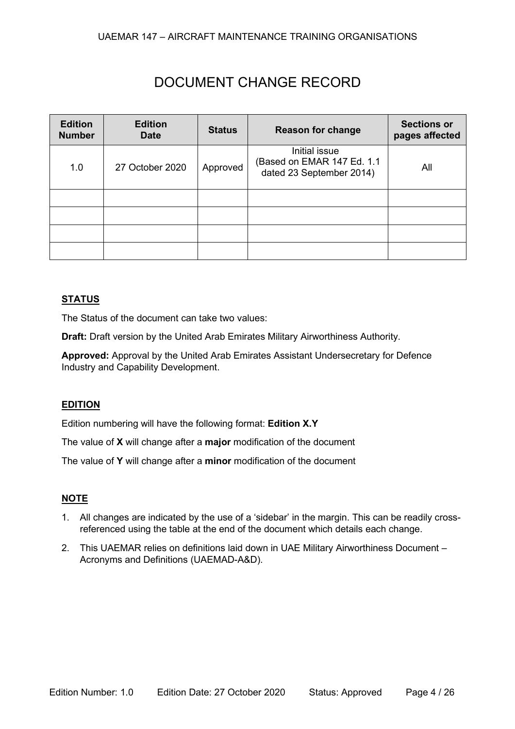# DOCUMENT CHANGE RECORD

| <b>Edition</b><br><b>Number</b> | <b>Edition</b><br><b>Date</b> | <b>Status</b> | <b>Reason for change</b>                                                | <b>Sections or</b><br>pages affected |
|---------------------------------|-------------------------------|---------------|-------------------------------------------------------------------------|--------------------------------------|
| 1.0                             | 27 October 2020               | Approved      | Initial issue<br>(Based on EMAR 147 Ed. 1.1<br>dated 23 September 2014) | All                                  |
|                                 |                               |               |                                                                         |                                      |
|                                 |                               |               |                                                                         |                                      |
|                                 |                               |               |                                                                         |                                      |
|                                 |                               |               |                                                                         |                                      |

## **STATUS**

The Status of the document can take two values:

**Draft:** Draft version by the United Arab Emirates Military Airworthiness Authority.

**Approved:** Approval by the United Arab Emirates Assistant Undersecretary for Defence Industry and Capability Development.

## **EDITION**

Edition numbering will have the following format: **Edition X.Y**

The value of **X** will change after a **major** modification of the document

The value of **Y** will change after a **minor** modification of the document

## **NOTE**

- 1. All changes are indicated by the use of a 'sidebar' in the margin. This can be readily crossreferenced using the table at the end of the document which details each change.
- 2. This UAEMAR relies on definitions laid down in UAE Military Airworthiness Document Acronyms and Definitions (UAEMAD-A&D).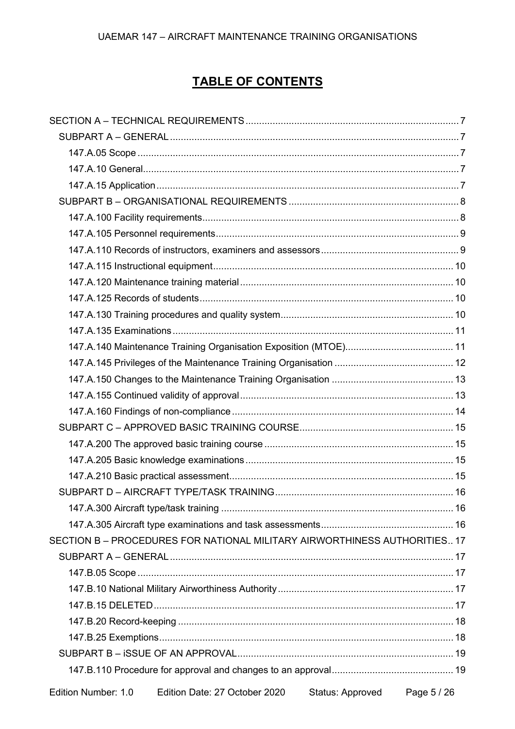# **TABLE OF CONTENTS**

| SECTION B - PROCEDURES FOR NATIONAL MILITARY AIRWORTHINESS AUTHORITIES 17 |  |
|---------------------------------------------------------------------------|--|
|                                                                           |  |
|                                                                           |  |
|                                                                           |  |
|                                                                           |  |
|                                                                           |  |
|                                                                           |  |
|                                                                           |  |
|                                                                           |  |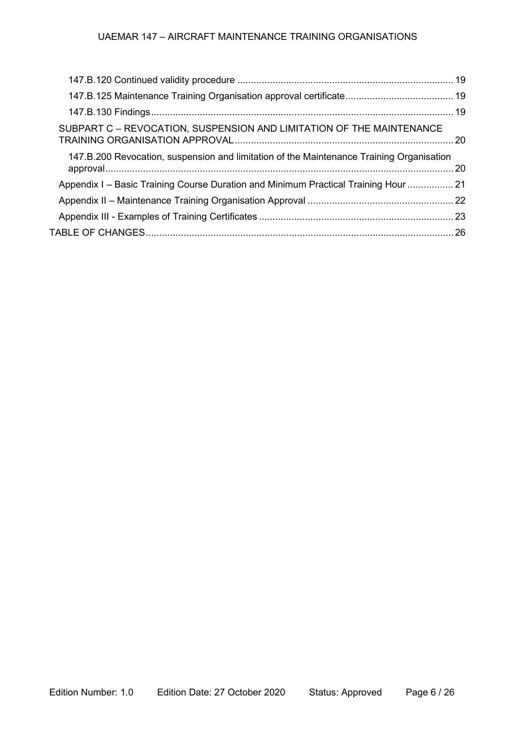### UAEMAR 147 – AIRCRAFT MAINTENANCE TRAINING ORGANISATIONS

| SUBPART C - REVOCATION, SUSPENSION AND LIMITATION OF THE MAINTENANCE                     |  |
|------------------------------------------------------------------------------------------|--|
| 147.B.200 Revocation, suspension and limitation of the Maintenance Training Organisation |  |
| Appendix I – Basic Training Course Duration and Minimum Practical Training Hour  21      |  |
|                                                                                          |  |
|                                                                                          |  |
|                                                                                          |  |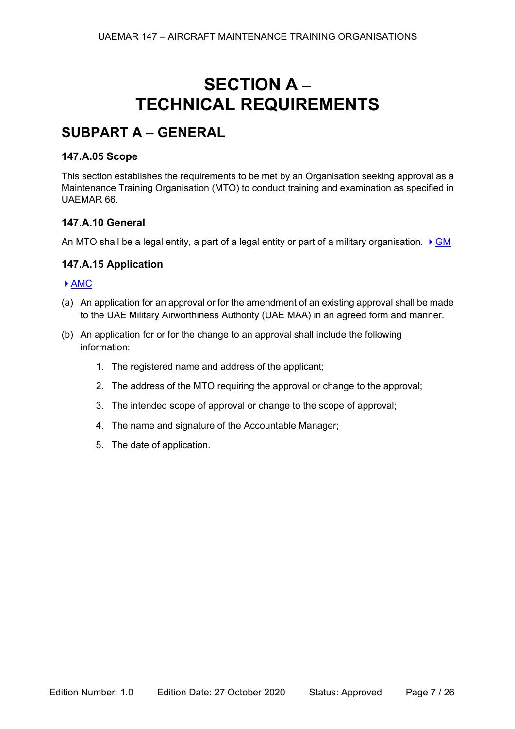# **SECTION A – TECHNICAL REQUIREMENTS**

# <span id="page-6-1"></span><span id="page-6-0"></span>**SUBPART A – GENERAL**

## <span id="page-6-2"></span>**147.A.05 Scope**

This section establishes the requirements to be met by an Organisation seeking approval as a Maintenance Training Organisation (MTO) to conduct training and examination as specified in UAEMAR 66.

# <span id="page-6-3"></span>**147.A.10 General**

An MTO shall be a legal entity, a part of a legal entity or part of a military organisation.  $\triangleright$  GM

# <span id="page-6-4"></span>**147.A.15 Application**

## $\triangleright$  AMC

- (a) An application for an approval or for the amendment of an existing approval shall be made to the UAE Military Airworthiness Authority (UAE MAA) in an agreed form and manner.
- (b) An application for or for the change to an approval shall include the following information:
	- 1. The registered name and address of the applicant;
	- 2. The address of the MTO requiring the approval or change to the approval;
	- 3. The intended scope of approval or change to the scope of approval;
	- 4. The name and signature of the Accountable Manager;
	- 5. The date of application.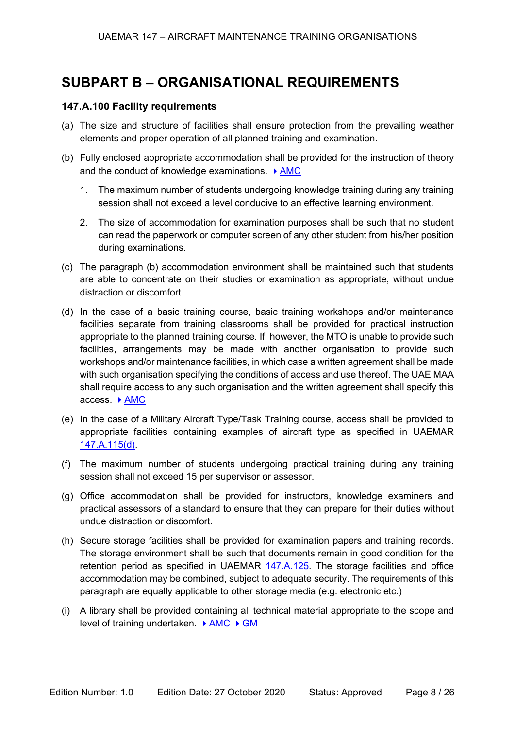# <span id="page-7-0"></span>**SUBPART B – ORGANISATIONAL REQUIREMENTS**

### <span id="page-7-1"></span>**147.A.100 Facility requirements**

- (a) The size and structure of facilities shall ensure protection from the prevailing weather elements and proper operation of all planned training and examination.
- (b) Fully enclosed appropriate accommodation shall be provided for the instruction of theory and the conduct of knowledge examinations.  $\triangleright$  AMC
	- 1. The maximum number of students undergoing knowledge training during any training session shall not exceed a level conducive to an effective learning environment.
	- 2. The size of accommodation for examination purposes shall be such that no student can read the paperwork or computer screen of any other student from his/her position during examinations.
- (c) The paragraph (b) accommodation environment shall be maintained such that students are able to concentrate on their studies or examination as appropriate, without undue distraction or discomfort.
- (d) In the case of a basic training course, basic training workshops and/or maintenance facilities separate from training classrooms shall be provided for practical instruction appropriate to the planned training course. If, however, the MTO is unable to provide such facilities, arrangements may be made with another organisation to provide such workshops and/or maintenance facilities, in which case a written agreement shall be made with such organisation specifying the conditions of access and use thereof. The UAE MAA shall require access to any such organisation and the written agreement shall specify this access. ▶ AMC
- (e) In the case of a Military Aircraft Type/Task Training course, access shall be provided to appropriate facilities containing examples of aircraft type as specified in UAEMAR 147.A.115(d).
- (f) The maximum number of students undergoing practical training during any training session shall not exceed 15 per supervisor or assessor.
- (g) Office accommodation shall be provided for instructors, knowledge examiners and practical assessors of a standard to ensure that they can prepare for their duties without undue distraction or discomfort.
- (h) Secure storage facilities shall be provided for examination papers and training records. The storage environment shall be such that documents remain in good condition for the retention period as specified in UAEMAR 147.A.125. The storage facilities and office accommodation may be combined, subject to adequate security. The requirements of this paragraph are equally applicable to other storage media (e.g. electronic etc.)
- (i) A library shall be provided containing all technical material appropriate to the scope and level of training undertaken.  $\rightarrow$  AMC  $\rightarrow$  GM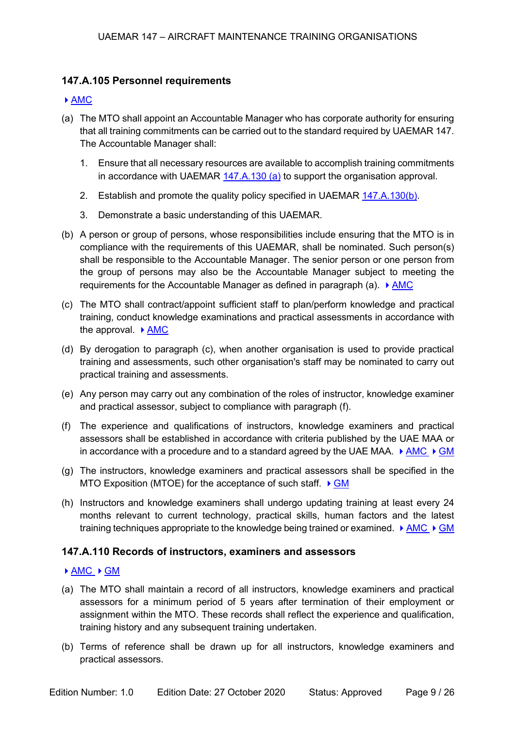### <span id="page-8-0"></span>**147.A.105 Personnel requirements**

### ▶ AMC

- (a) The MTO shall appoint an Accountable Manager who has corporate authority for ensuring that all training commitments can be carried out to the standard required by UAEMAR 147. The Accountable Manager shall:
	- 1. Ensure that all necessary resources are available to accomplish training commitments in accordance with UAEMAR 147.A.130 (a) to support the organisation approval.
	- 2. Establish and promote the quality policy specified in UAEMAR 147.A.130(b).
	- 3. Demonstrate a basic understanding of this UAEMAR.
- (b) A person or group of persons, whose responsibilities include ensuring that the MTO is in compliance with the requirements of this UAEMAR, shall be nominated. Such person(s) shall be responsible to the Accountable Manager. The senior person or one person from the group of persons may also be the Accountable Manager subject to meeting the requirements for the Accountable Manager as defined in paragraph (a).  $\triangleright$  AMC
- (c) The MTO shall contract/appoint sufficient staff to plan/perform knowledge and practical training, conduct knowledge examinations and practical assessments in accordance with the approval.  $\triangleright$  AMC
- (d) By derogation to paragraph (c), when another organisation is used to provide practical training and assessments, such other organisation's staff may be nominated to carry out practical training and assessments.
- (e) Any person may carry out any combination of the roles of instructor, knowledge examiner and practical assessor, subject to compliance with paragraph (f).
- (f) The experience and qualifications of instructors, knowledge examiners and practical assessors shall be established in accordance with criteria published by the UAE MAA or in accordance with a procedure and to a standard agreed by the UAE MAA.  $\triangleright$  AMC  $\triangleright$  GM
- (g) The instructors, knowledge examiners and practical assessors shall be specified in the MTO Exposition (MTOE) for the acceptance of such staff.  $\triangleright$  GM
- (h) Instructors and knowledge examiners shall undergo updating training at least every 24 months relevant to current technology, practical skills, human factors and the latest training techniques appropriate to the knowledge being trained or examined.  $\triangleright$  AMC  $\triangleright$  GM

## <span id="page-8-1"></span>**147.A.110 Records of instructors, examiners and assessors**

### $\rightarrow$  AMC  $\rightarrow$  GM

- (a) The MTO shall maintain a record of all instructors, knowledge examiners and practical assessors for a minimum period of 5 years after termination of their employment or assignment within the MTO. These records shall reflect the experience and qualification, training history and any subsequent training undertaken.
- (b) Terms of reference shall be drawn up for all instructors, knowledge examiners and practical assessors.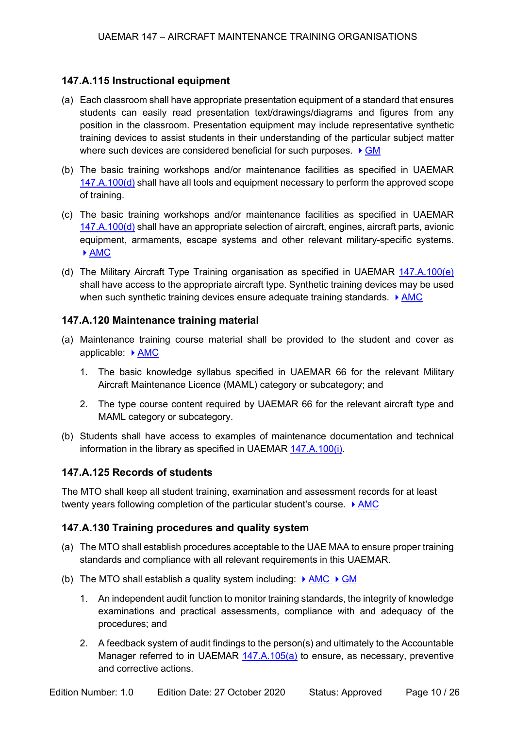# <span id="page-9-0"></span>**147.A.115 Instructional equipment**

- (a) Each classroom shall have appropriate presentation equipment of a standard that ensures students can easily read presentation text/drawings/diagrams and figures from any position in the classroom. Presentation equipment may include representative synthetic training devices to assist students in their understanding of the particular subject matter where such devices are considered beneficial for such purposes.  $\triangleright$  GM
- (b) The basic training workshops and/or maintenance facilities as specified in UAEMAR  $147.A.100(d)$  shall have all tools and equipment necessary to perform the approved scope of training.
- (c) The basic training workshops and/or maintenance facilities as specified in UAEMAR 147.A.100(d) shall have an appropriate selection of aircraft, engines, aircraft parts, avionic equipment, armaments, escape systems and other relevant military-specific systems. AMC
- (d) The Military Aircraft Type Training organisation as specified in UAEMAR 147.A.100(e) shall have access to the appropriate aircraft type. Synthetic training devices may be used when such synthetic training devices ensure adequate training standards.  $\triangleright$  AMC

## <span id="page-9-1"></span>**147.A.120 Maintenance training material**

- (a) Maintenance training course material shall be provided to the student and cover as applicable: AMC
	- 1. The basic knowledge syllabus specified in UAEMAR 66 for the relevant Military Aircraft Maintenance Licence (MAML) category or subcategory; and
	- 2. The type course content required by UAEMAR 66 for the relevant aircraft type and MAML category or subcategory.
- (b) Students shall have access to examples of maintenance documentation and technical information in the library as specified in UAEMAR 147.A.100(i).

## <span id="page-9-2"></span>**147.A.125 Records of students**

The MTO shall keep all student training, examination and assessment records for at least twenty years following completion of the particular student's course.  $\triangleright$  AMC

## <span id="page-9-3"></span>**147.A.130 Training procedures and quality system**

- (a) The MTO shall establish procedures acceptable to the UAE MAA to ensure proper training standards and compliance with all relevant requirements in this UAEMAR.
- (b) The MTO shall establish a quality system including:  $\rightarrow$  AMC  $\rightarrow$  GM
	- 1. An independent audit function to monitor training standards, the integrity of knowledge examinations and practical assessments, compliance with and adequacy of the procedures; and
	- 2. A feedback system of audit findings to the person(s) and ultimately to the Accountable Manager referred to in UAEMAR 147.A.105(a) to ensure, as necessary, preventive and corrective actions.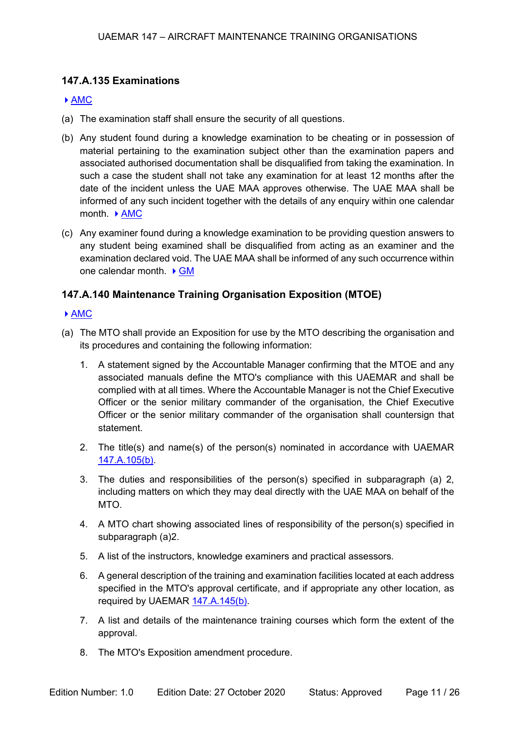# <span id="page-10-0"></span>**147.A.135 Examinations**

### ▶ AMC

- (a) The examination staff shall ensure the security of all questions.
- (b) Any student found during a knowledge examination to be cheating or in possession of material pertaining to the examination subject other than the examination papers and associated authorised documentation shall be disqualified from taking the examination. In such a case the student shall not take any examination for at least 12 months after the date of the incident unless the UAE MAA approves otherwise. The UAE MAA shall be informed of any such incident together with the details of any enquiry within one calendar month. ▶ AMC
- (c) Any examiner found during a knowledge examination to be providing question answers to any student being examined shall be disqualified from acting as an examiner and the examination declared void. The UAE MAA shall be informed of any such occurrence within one calendar month.  $\triangleright$  GM

# <span id="page-10-1"></span>**147.A.140 Maintenance Training Organisation Exposition (MTOE)**

### ▶ AMC

- (a) The MTO shall provide an Exposition for use by the MTO describing the organisation and its procedures and containing the following information:
	- 1. A statement signed by the Accountable Manager confirming that the MTOE and any associated manuals define the MTO's compliance with this UAEMAR and shall be complied with at all times. Where the Accountable Manager is not the Chief Executive Officer or the senior military commander of the organisation, the Chief Executive Officer or the senior military commander of the organisation shall countersign that statement.
	- 2. The title(s) and name(s) of the person(s) nominated in accordance with UAEMAR 147.A.105(b).
	- 3. The duties and responsibilities of the person(s) specified in subparagraph (a) 2, including matters on which they may deal directly with the UAE MAA on behalf of the MTO.
	- 4. A MTO chart showing associated lines of responsibility of the person(s) specified in subparagraph (a)2.
	- 5. A list of the instructors, knowledge examiners and practical assessors.
	- 6. A general description of the training and examination facilities located at each address specified in the MTO's approval certificate, and if appropriate any other location, as required by UAEMAR 147.A.145(b).
	- 7. A list and details of the maintenance training courses which form the extent of the approval.
	- 8. The MTO's Exposition amendment procedure.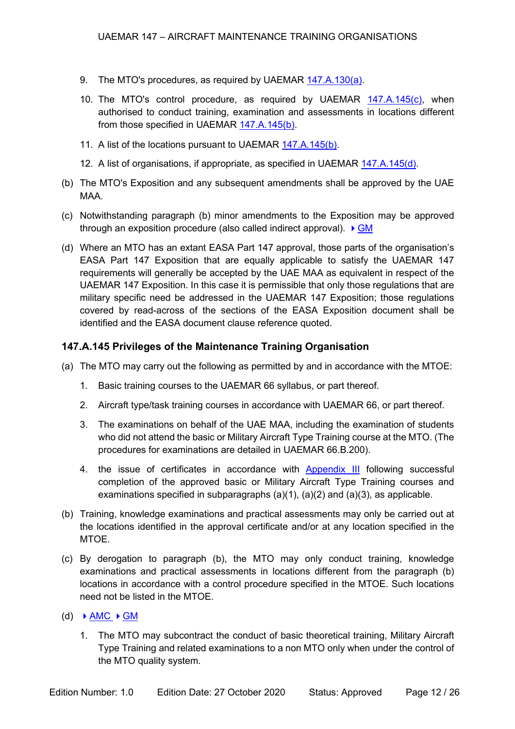- 9. The MTO's procedures, as required by UAEMAR 147.A.130(a).
- 10. The MTO's control procedure, as required by UAEMAR 147.A.145(c), when authorised to conduct training, examination and assessments in locations different from those specified in UAEMAR 147.A.145(b).
- 11. A list of the locations pursuant to UAEMAR 147.A.145(b).
- 12. A list of organisations, if appropriate, as specified in UAEMAR 147.A.145(d).
- (b) The MTO's Exposition and any subsequent amendments shall be approved by the UAE MAA.
- (c) Notwithstanding paragraph (b) minor amendments to the Exposition may be approved through an exposition procedure (also called indirect approval).  $\triangleright$  GM
- (d) Where an MTO has an extant EASA Part 147 approval, those parts of the organisation's EASA Part 147 Exposition that are equally applicable to satisfy the UAEMAR 147 requirements will generally be accepted by the UAE MAA as equivalent in respect of the UAEMAR 147 Exposition. In this case it is permissible that only those regulations that are military specific need be addressed in the UAEMAR 147 Exposition; those regulations covered by read-across of the sections of the EASA Exposition document shall be identified and the EASA document clause reference quoted.

### <span id="page-11-0"></span>**147.A.145 Privileges of the Maintenance Training Organisation**

- (a) The MTO may carry out the following as permitted by and in accordance with the MTOE:
	- 1. Basic training courses to the UAEMAR 66 syllabus, or part thereof.
	- 2. Aircraft type/task training courses in accordance with UAEMAR 66, or part thereof.
	- 3. The examinations on behalf of the UAE MAA, including the examination of students who did not attend the basic or Military Aircraft Type Training course at the MTO. (The procedures for examinations are detailed in UAEMAR 66.B.200).
	- 4. the issue of certificates in accordance with Appendix III following successful completion of the approved basic or Military Aircraft Type Training courses and examinations specified in subparagraphs (a)(1), (a)(2) and (a)(3), as applicable.
- (b) Training, knowledge examinations and practical assessments may only be carried out at the locations identified in the approval certificate and/or at any location specified in the MTOE.
- (c) By derogation to paragraph (b), the MTO may only conduct training, knowledge examinations and practical assessments in locations different from the paragraph (b) locations in accordance with a control procedure specified in the MTOE. Such locations need not be listed in the MTOE.
- (d)  $\rightarrow$  AMC  $\rightarrow$  GM
	- 1. The MTO may subcontract the conduct of basic theoretical training, Military Aircraft Type Training and related examinations to a non MTO only when under the control of the MTO quality system.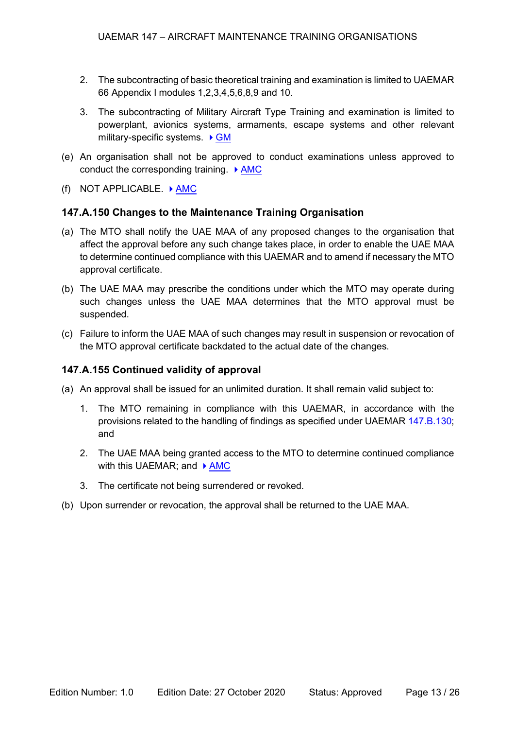- 2. The subcontracting of basic theoretical training and examination is limited to UAEMAR 66 Appendix I modules 1,2,3,4,5,6,8,9 and 10.
- 3. The subcontracting of Military Aircraft Type Training and examination is limited to powerplant, avionics systems, armaments, escape systems and other relevant military-specific systems.  $\triangleright$  GM
- (e) An organisation shall not be approved to conduct examinations unless approved to conduct the corresponding training.  $\triangleright$  AMC
- (f) NOT APPLICABLE.  $\triangleright$  AMC

### <span id="page-12-0"></span>**147.A.150 Changes to the Maintenance Training Organisation**

- (a) The MTO shall notify the UAE MAA of any proposed changes to the organisation that affect the approval before any such change takes place, in order to enable the UAE MAA to determine continued compliance with this UAEMAR and to amend if necessary the MTO approval certificate.
- (b) The UAE MAA may prescribe the conditions under which the MTO may operate during such changes unless the UAE MAA determines that the MTO approval must be suspended.
- (c) Failure to inform the UAE MAA of such changes may result in suspension or revocation of the MTO approval certificate backdated to the actual date of the changes.

### <span id="page-12-1"></span>**147.A.155 Continued validity of approval**

- (a) An approval shall be issued for an unlimited duration. It shall remain valid subject to:
	- 1. The MTO remaining in compliance with this UAEMAR, in accordance with the provisions related to the handling of findings as specified under UAEMAR 147.B.130; and
	- 2. The UAE MAA being granted access to the MTO to determine continued compliance with this UAEMAR; and  $\triangleright$  AMC
	- 3. The certificate not being surrendered or revoked.
- <span id="page-12-2"></span>(b) Upon surrender or revocation, the approval shall be returned to the UAE MAA.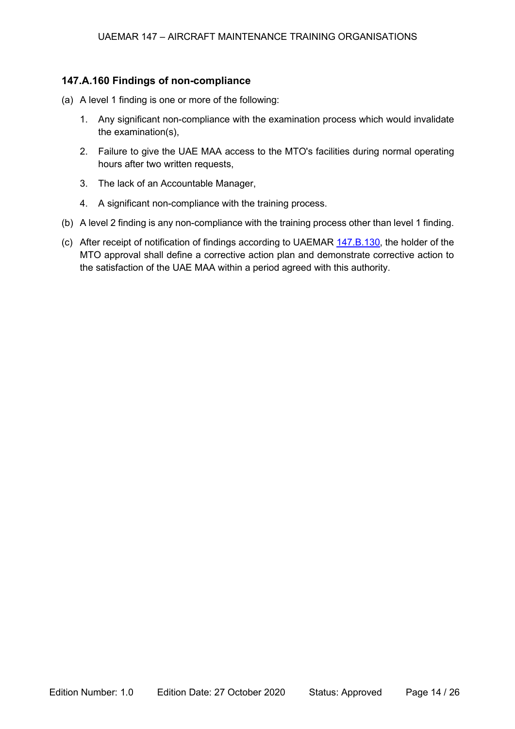## **147.A.160 Findings of non-compliance**

- (a) A level 1 finding is one or more of the following:
	- 1. Any significant non-compliance with the examination process which would invalidate the examination(s),
	- 2. Failure to give the UAE MAA access to the MTO's facilities during normal operating hours after two written requests,
	- 3. The lack of an Accountable Manager,
	- 4. A significant non-compliance with the training process.
- (b) A level 2 finding is any non-compliance with the training process other than level 1 finding.
- (c) After receipt of notification of findings according to UAEMAR 147.B.130, the holder of the MTO approval shall define a corrective action plan and demonstrate corrective action to the satisfaction of the UAE MAA within a period agreed with this authority.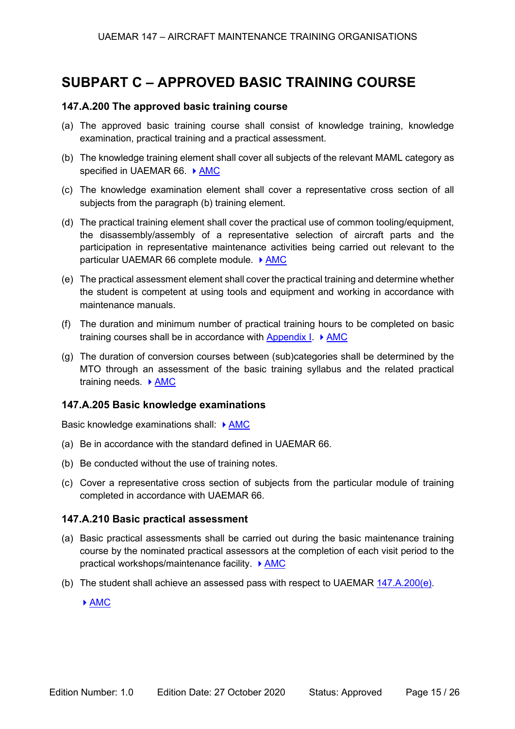# <span id="page-14-0"></span>**SUBPART C – APPROVED BASIC TRAINING COURSE**

### <span id="page-14-1"></span>**147.A.200 The approved basic training course**

- (a) The approved basic training course shall consist of knowledge training, knowledge examination, practical training and a practical assessment.
- (b) The knowledge training element shall cover all subjects of the relevant MAML category as specified in UAEMAR 66. AMC
- (c) The knowledge examination element shall cover a representative cross section of all subjects from the paragraph (b) training element.
- (d) The practical training element shall cover the practical use of common tooling/equipment, the disassembly/assembly of a representative selection of aircraft parts and the participation in representative maintenance activities being carried out relevant to the particular UAEMAR 66 complete module.  $\rightarrow$  AMC
- (e) The practical assessment element shall cover the practical training and determine whether the student is competent at using tools and equipment and working in accordance with maintenance manuals.
- (f) The duration and minimum number of practical training hours to be completed on basic training courses shall be in accordance with Appendix  $I. \rightarrow AMC$
- (g) The duration of conversion courses between (sub)categories shall be determined by the MTO through an assessment of the basic training syllabus and the related practical training needs.  $\triangleright$  **AMC**

### <span id="page-14-2"></span>**147.A.205 Basic knowledge examinations**

Basic knowledge examinations shall:  $\rightarrow$  AMC

- (a) Be in accordance with the standard defined in UAEMAR 66.
- (b) Be conducted without the use of training notes.
- (c) Cover a representative cross section of subjects from the particular module of training completed in accordance with UAEMAR 66.

### <span id="page-14-3"></span>**147.A.210 Basic practical assessment**

- (a) Basic practical assessments shall be carried out during the basic maintenance training course by the nominated practical assessors at the completion of each visit period to the practical workshops/maintenance facility. ▶ AMC
- (b) The student shall achieve an assessed pass with respect to UAEMAR 147.A.200(e).

 $\triangleright$  AMC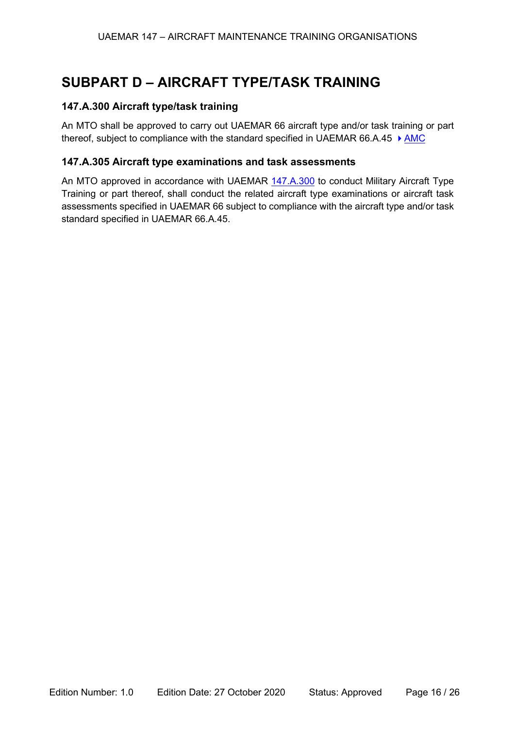# <span id="page-15-0"></span>**SUBPART D – AIRCRAFT TYPE/TASK TRAINING**

# <span id="page-15-1"></span>**147.A.300 Aircraft type/task training**

An MTO shall be approved to carry out UAEMAR 66 aircraft type and/or task training or part thereof, subject to compliance with the standard specified in UAEMAR 66.A.45  $\rightarrow$  AMC

## <span id="page-15-2"></span>**147.A.305 Aircraft type examinations and task assessments**

An MTO approved in accordance with UAEMAR 147.A.300 to conduct Military Aircraft Type Training or part thereof, shall conduct the related aircraft type examinations or aircraft task assessments specified in UAEMAR 66 subject to compliance with the aircraft type and/or task standard specified in UAEMAR 66.A.45.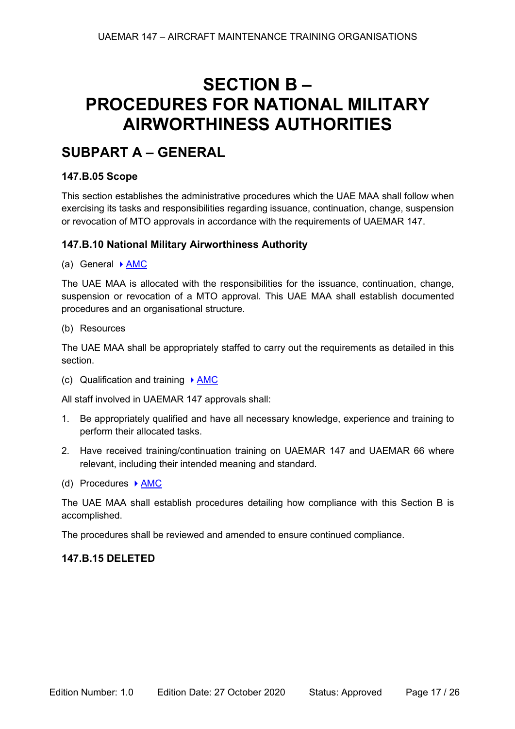# <span id="page-16-0"></span>**SECTION B – PROCEDURES FOR NATIONAL MILITARY AIRWORTHINESS AUTHORITIES**

# <span id="page-16-1"></span>**SUBPART A – GENERAL**

# <span id="page-16-2"></span>**147.B.05 Scope**

This section establishes the administrative procedures which the UAE MAA shall follow when exercising its tasks and responsibilities regarding issuance, continuation, change, suspension or revocation of MTO approvals in accordance with the requirements of UAEMAR 147.

## <span id="page-16-3"></span>**147.B.10 National Military Airworthiness Authority**

(a) General  $\triangleright$  AMC

The UAE MAA is allocated with the responsibilities for the issuance, continuation, change, suspension or revocation of a MTO approval. This UAE MAA shall establish documented procedures and an organisational structure.

(b) Resources

The UAE MAA shall be appropriately staffed to carry out the requirements as detailed in this section.

(c) Qualification and training  $\rightarrow$  AMC

All staff involved in UAEMAR 147 approvals shall:

- 1. Be appropriately qualified and have all necessary knowledge, experience and training to perform their allocated tasks.
- 2. Have received training/continuation training on UAEMAR 147 and UAEMAR 66 where relevant, including their intended meaning and standard.
- (d) Procedures  $\triangleright$  AMC

The UAE MAA shall establish procedures detailing how compliance with this Section B is accomplished.

The procedures shall be reviewed and amended to ensure continued compliance.

## <span id="page-16-5"></span><span id="page-16-4"></span>**147.B.15 DELETED**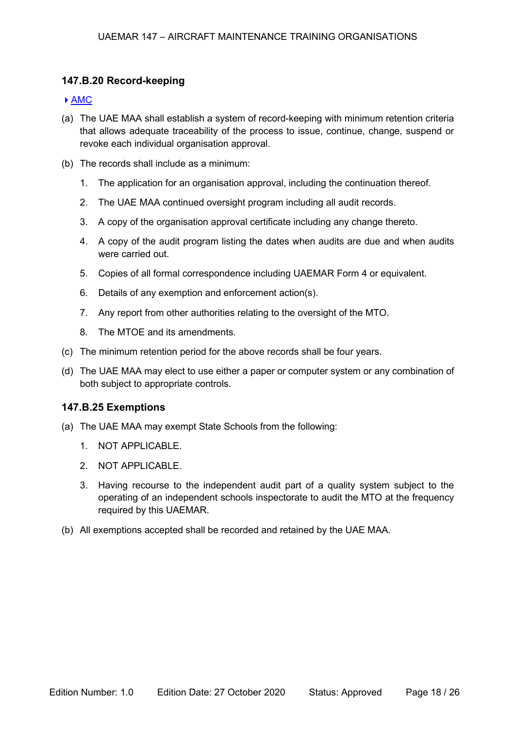## **147.B.20 Record-keeping**

#### ▶ AMC

- (a) The UAE MAA shall establish a system of record-keeping with minimum retention criteria that allows adequate traceability of the process to issue, continue, change, suspend or revoke each individual organisation approval.
- (b) The records shall include as a minimum:
	- 1. The application for an organisation approval, including the continuation thereof.
	- 2. The UAE MAA continued oversight program including all audit records.
	- 3. A copy of the organisation approval certificate including any change thereto.
	- 4. A copy of the audit program listing the dates when audits are due and when audits were carried out.
	- 5. Copies of all formal correspondence including UAEMAR Form 4 or equivalent.
	- 6. Details of any exemption and enforcement action(s).
	- 7. Any report from other authorities relating to the oversight of the MTO.
	- 8. The MTOE and its amendments.
- (c) The minimum retention period for the above records shall be four years.
- (d) The UAE MAA may elect to use either a paper or computer system or any combination of both subject to appropriate controls.

### <span id="page-17-0"></span>**147.B.25 Exemptions**

- (a) The UAE MAA may exempt State Schools from the following:
	- 1. NOT APPLICABLE.
	- 2. NOT APPLICABLE.
	- 3. Having recourse to the independent audit part of a quality system subject to the operating of an independent schools inspectorate to audit the MTO at the frequency required by this UAEMAR.
- (b) All exemptions accepted shall be recorded and retained by the UAE MAA.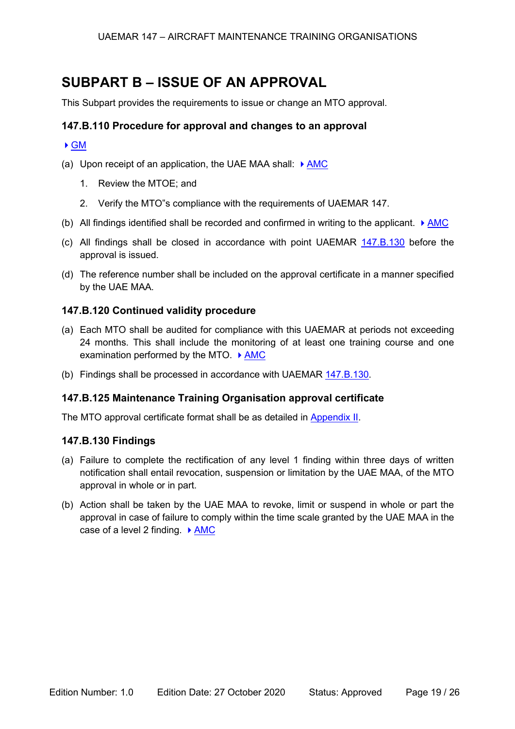# <span id="page-18-0"></span>**SUBPART B – ISSUE OF AN APPROVAL**

This Subpart provides the requirements to issue or change an MTO approval.

## <span id="page-18-1"></span>**147.B.110 Procedure for approval and changes to an approval**

### GM

- (a) Upon receipt of an application, the UAE MAA shall:  $\triangleright$  AMC
	- 1. Review the MTOE; and
	- 2. Verify the MTO"s compliance with the requirements of UAEMAR 147.
- (b) All findings identified shall be recorded and confirmed in writing to the applicant.  $\rightarrow$  AMC
- (c) All findings shall be closed in accordance with point UAEMAR 147.B.130 before the approval is issued.
- (d) The reference number shall be included on the approval certificate in a manner specified by the UAE MAA.

## <span id="page-18-2"></span>**147.B.120 Continued validity procedure**

- (a) Each MTO shall be audited for compliance with this UAEMAR at periods not exceeding 24 months. This shall include the monitoring of at least one training course and one examination performed by the MTO.  $\triangleright$  AMC
- (b) Findings shall be processed in accordance with UAEMAR 147.B.130.

## <span id="page-18-3"></span>**147.B.125 Maintenance Training Organisation approval certificate**

The MTO approval certificate format shall be as detailed in Appendix II.

### <span id="page-18-4"></span>**147.B.130 Findings**

- (a) Failure to complete the rectification of any level 1 finding within three days of written notification shall entail revocation, suspension or limitation by the UAE MAA, of the MTO approval in whole or in part.
- (b) Action shall be taken by the UAE MAA to revoke, limit or suspend in whole or part the approval in case of failure to comply within the time scale granted by the UAE MAA in the case of a level 2 finding.  $\triangleright$  AMC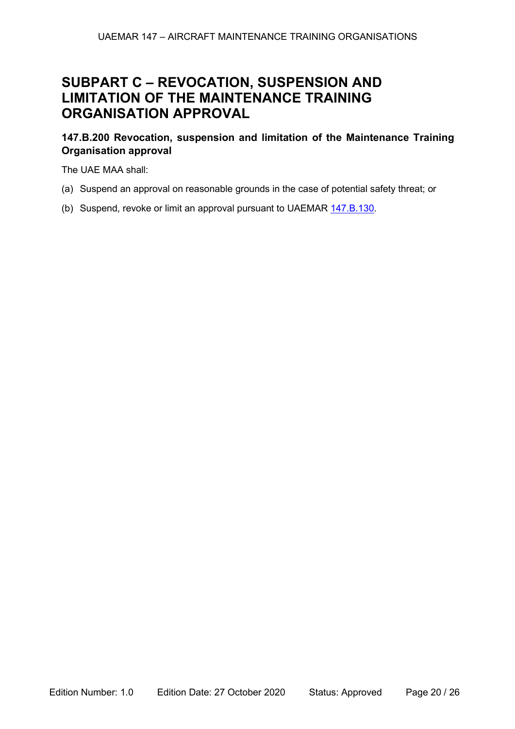# <span id="page-19-0"></span>**SUBPART C – REVOCATION, SUSPENSION AND LIMITATION OF THE MAINTENANCE TRAINING ORGANISATION APPROVAL**

# <span id="page-19-1"></span>**147.B.200 Revocation, suspension and limitation of the Maintenance Training Organisation approval**

The UAE MAA shall:

- (a) Suspend an approval on reasonable grounds in the case of potential safety threat; or
- (b) Suspend, revoke or limit an approval pursuant to UAEMAR 147.B.130.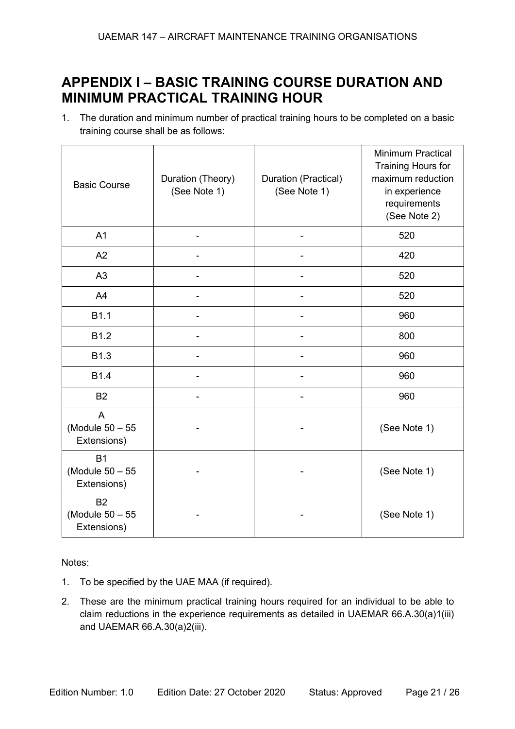# <span id="page-20-0"></span>**APPENDIX I – BASIC TRAINING COURSE DURATION AND MINIMUM PRACTICAL TRAINING HOUR**

1. The duration and minimum number of practical training hours to be completed on a basic training course shall be as follows:

| <b>Basic Course</b>                              | Duration (Theory)<br>(See Note 1) | Duration (Practical)<br>(See Note 1) | <b>Minimum Practical</b><br><b>Training Hours for</b><br>maximum reduction<br>in experience<br>requirements<br>(See Note 2) |
|--------------------------------------------------|-----------------------------------|--------------------------------------|-----------------------------------------------------------------------------------------------------------------------------|
| A <sub>1</sub>                                   |                                   |                                      | 520                                                                                                                         |
| A2                                               |                                   |                                      | 420                                                                                                                         |
| A3                                               |                                   |                                      | 520                                                                                                                         |
| A4                                               |                                   |                                      | 520                                                                                                                         |
| B1.1                                             |                                   |                                      | 960                                                                                                                         |
| B1.2                                             |                                   |                                      | 800                                                                                                                         |
| <b>B1.3</b>                                      |                                   |                                      | 960                                                                                                                         |
| B1.4                                             |                                   |                                      | 960                                                                                                                         |
| <b>B2</b>                                        |                                   |                                      | 960                                                                                                                         |
| $\overline{A}$<br>(Module 50 - 55<br>Extensions) |                                   |                                      | (See Note 1)                                                                                                                |
| <b>B1</b><br>(Module 50 - 55<br>Extensions)      |                                   |                                      | (See Note 1)                                                                                                                |
| <b>B2</b><br>(Module 50 - 55<br>Extensions)      |                                   |                                      | (See Note 1)                                                                                                                |

Notes:

- 1. To be specified by the UAE MAA (if required).
- 2. These are the minimum practical training hours required for an individual to be able to claim reductions in the experience requirements as detailed in UAEMAR 66.A.30(a)1(iii) and UAEMAR 66.A.30(a)2(iii).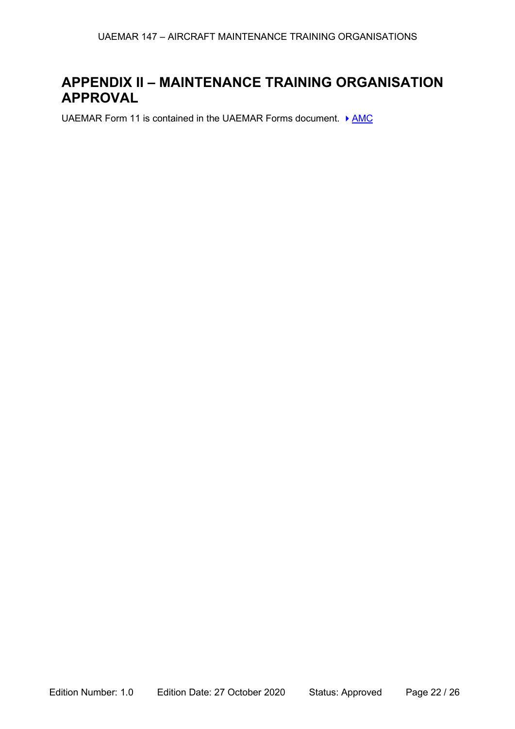# <span id="page-21-0"></span>**APPENDIX II – MAINTENANCE TRAINING ORGANISATION APPROVAL**

UAEMAR Form 11 is contained in the UAEMAR Forms document. ▶ AMC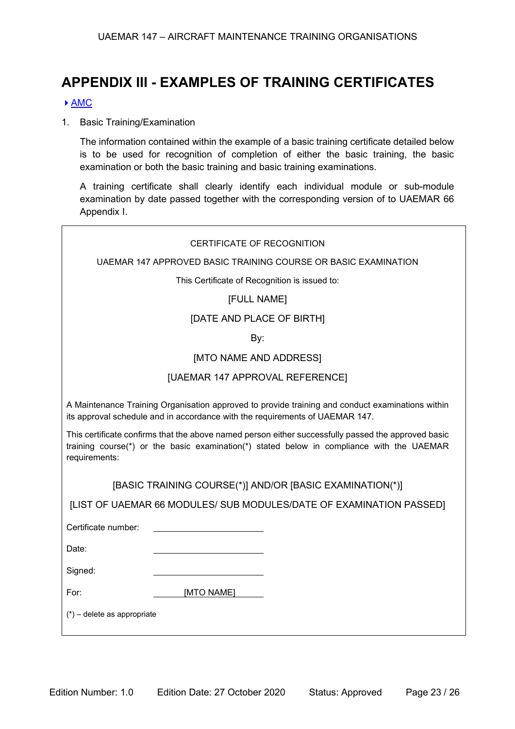# <span id="page-22-0"></span>**APPENDIX III - EXAMPLES OF TRAINING CERTIFICATES**

#### ▶ AMC

1. Basic Training/Examination

The information contained within the example of a basic training certificate detailed below is to be used for recognition of completion of either the basic training, the basic examination or both the basic training and basic training examinations.

A training certificate shall clearly identify each individual module or sub-module examination by date passed together with the corresponding version of to UAEMAR 66 Appendix I.

| CERTIFICATE OF RECOGNITION                                                                                                                                                                                        |  |  |  |
|-------------------------------------------------------------------------------------------------------------------------------------------------------------------------------------------------------------------|--|--|--|
| UAEMAR 147 APPROVED BASIC TRAINING COURSE OR BASIC EXAMINATION                                                                                                                                                    |  |  |  |
| This Certificate of Recognition is issued to:                                                                                                                                                                     |  |  |  |
| [FULL NAME]                                                                                                                                                                                                       |  |  |  |
| [DATE AND PLACE OF BIRTH]                                                                                                                                                                                         |  |  |  |
| By:                                                                                                                                                                                                               |  |  |  |
| [MTO NAME AND ADDRESS]                                                                                                                                                                                            |  |  |  |
| [UAEMAR 147 APPROVAL REFERENCE]                                                                                                                                                                                   |  |  |  |
| A Maintenance Training Organisation approved to provide training and conduct examinations within<br>its approval schedule and in accordance with the requirements of UAEMAR 147.                                  |  |  |  |
| This certificate confirms that the above named person either successfully passed the approved basic<br>training course(*) or the basic examination(*) stated below in compliance with the UAEMAR<br>requirements: |  |  |  |
| [BASIC TRAINING COURSE(*)] AND/OR [BASIC EXAMINATION(*)]                                                                                                                                                          |  |  |  |
| [LIST OF UAEMAR 66 MODULES/ SUB MODULES/DATE OF EXAMINATION PASSED]                                                                                                                                               |  |  |  |
| Certificate number:                                                                                                                                                                                               |  |  |  |
| Date:                                                                                                                                                                                                             |  |  |  |
| Signed:                                                                                                                                                                                                           |  |  |  |
| For:<br>[MTO NAME]                                                                                                                                                                                                |  |  |  |
| $(*)$ – delete as appropriate                                                                                                                                                                                     |  |  |  |
|                                                                                                                                                                                                                   |  |  |  |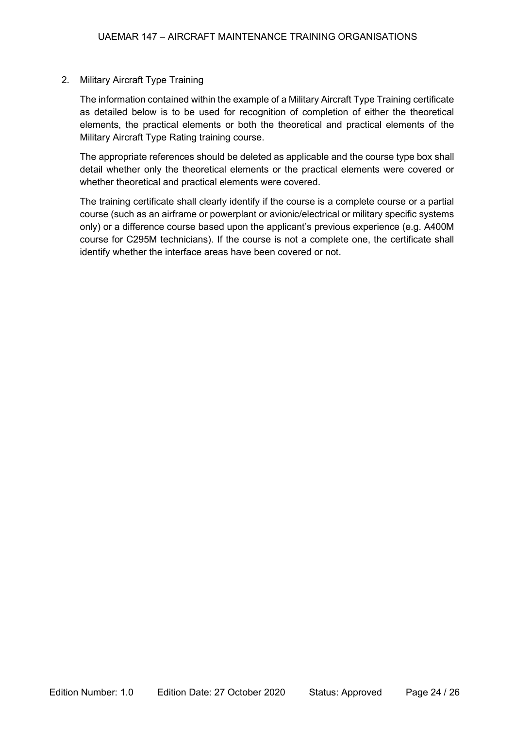#### 2. Military Aircraft Type Training

The information contained within the example of a Military Aircraft Type Training certificate as detailed below is to be used for recognition of completion of either the theoretical elements, the practical elements or both the theoretical and practical elements of the Military Aircraft Type Rating training course.

The appropriate references should be deleted as applicable and the course type box shall detail whether only the theoretical elements or the practical elements were covered or whether theoretical and practical elements were covered.

The training certificate shall clearly identify if the course is a complete course or a partial course (such as an airframe or powerplant or avionic/electrical or military specific systems only) or a difference course based upon the applicant's previous experience (e.g. A400M course for C295M technicians). If the course is not a complete one, the certificate shall identify whether the interface areas have been covered or not.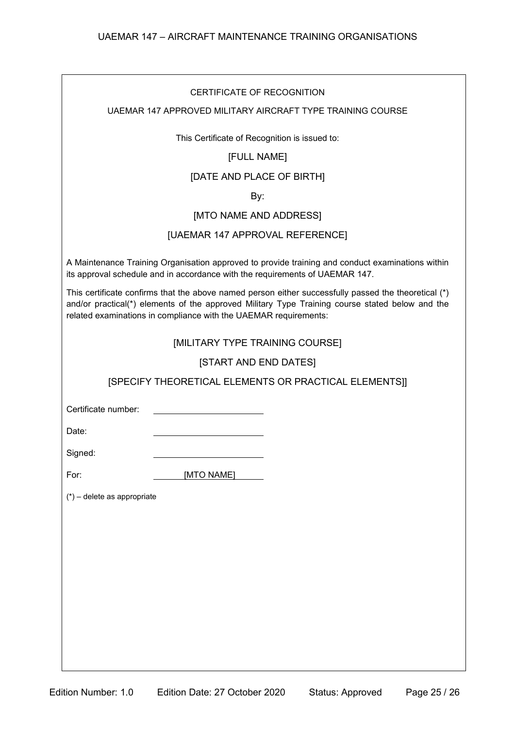#### UAEMAR 147 APPROVED MILITARY AIRCRAFT TYPE TRAINING COURSE

This Certificate of Recognition is issued to:

### [FULL NAME]

### [DATE AND PLACE OF BIRTH]

#### By:

#### [MTO NAME AND ADDRESS]

#### [UAEMAR 147 APPROVAL REFERENCE]

A Maintenance Training Organisation approved to provide training and conduct examinations within its approval schedule and in accordance with the requirements of UAEMAR 147.

This certificate confirms that the above named person either successfully passed the theoretical (\*) and/or practical(\*) elements of the approved Military Type Training course stated below and the related examinations in compliance with the UAEMAR requirements:

#### [MILITARY TYPE TRAINING COURSE]

[START AND END DATES]

[SPECIFY THEORETICAL ELEMENTS OR PRACTICAL ELEMENTS]]

Certificate number:

Date:

Signed:

For: **[MTO NAME]** 

(\*) – delete as appropriate